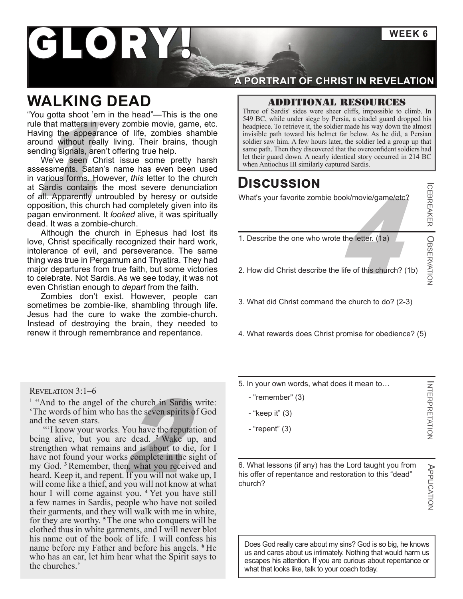**WEEK 6**

# GLORY

## **WALKING DEAD**

"You gotta shoot 'em in the head"—This is the one rule that matters in every zombie movie, game, etc. Having the appearance of life, zombies shamble around without really living. Their brains, though sending signals, aren't offering true help.

We've seen Christ issue some pretty harsh assessments. Satan's name has even been used in various forms. However, *this* letter to the church at Sardis contains the most severe denunciation of all. Apparently untroubled by heresy or outside opposition, this church had completely given into its pagan environment. It *looked* alive, it was spiritually dead. It was a zombie-church.

Although the church in Ephesus had lost its love, Christ specifically recognized their hard work, intolerance of evil, and perseverance. The same thing was true in Pergamum and Thyatira. They had major departures from true faith, but some victories to celebrate. Not Sardis. As we see today, it was not even Christian enough to *depart* from the faith.

Zombies don't exist. However, people can sometimes be zombie-like, shambling through life. Jesus had the cure to wake the zombie-church. Instead of destroying the brain, they needed to renew it through remembrance and repentance.

Revelation 3:1–6

<sup>1</sup> "And to the angel of the church in Sardis write: 'The words of him who has the seven spirits of God and the seven stars.

e church in Sardis was the seven spirits of<br>You have the reputatic<br>e dead. <sup>2</sup> Wake up,<br>and is about to die, 1<br>s complete in the sigh<br>n, what you received "'I know your works. You have the reputation of being alive, but you are dead. **<sup>2</sup>** Wake up, and strengthen what remains and is about to die, for I have not found your works complete in the sight of my God. **<sup>3</sup>** Remember, then, what you received and heard. Keep it, and repent. If you will not wake up, I will come like a thief, and you will not know at what hour I will come against you. **<sup>4</sup>** Yet you have still a few names in Sardis, people who have not soiled their garments, and they will walk with me in white, for they are worthy. **<sup>5</sup>**The one who conquers will be clothed thus in white garments, and I will never blot his name out of the book of life. I will confess his name before my Father and before his angels. **<sup>6</sup>** He who has an ear, let him hear what the Spirit says to the churches.'

#### **A PORTRAIT OF CHRIST IN REVELATION**

#### Additional resources

Three of Sardis' sides were sheer cliffs, impossible to climb. In 549 BC, while under siege by Persia, a citadel guard dropped his headpiece. To retrieve it, the soldier made his way down the almost invisible path toward his helmet far below. As he did, a Persian soldier saw him. A few hours later, the soldier led a group up that same path. Then they discovered that the overconfident soldiers had let their guard down. A nearly identical story occurred in 214 BC let their guard down. A nearly identical story occurred in 214 BC<br>
Made appearance of life, zombies shamble<br>
simulating signals, aren't offering true help.<br>
We've seen Christ issue some pretty harsh<br>
sessments. Satan's nam

### **Discussion**

What's your favorite zombie book/movie/game/etc?

1. Describe the one who wrote the letter. (1a)

4 2. How did Christ describe the life of this church? (1b)

3. What did Christ command the church to do? (2-3)

4. What rewards does Christ promise for obedience? (5)

5. In your own words, what does it mean to…

- "remember" (3)
- "keep it" (3)
- "repent" (3)

6. What lessons (if any) has the Lord taught you from his offer of repentance and restoration to this "dead" church?

INTERPRETATION INTERPRETATION

ICEBREAKER

OBSERVATION

APPLICATION APPLICATION

Does God really care about my sins? God is so big, he knows us and cares about us intimately. Nothing that would harm us escapes his attention. If you are curious about repentance or what that looks like, talk to your coach today.